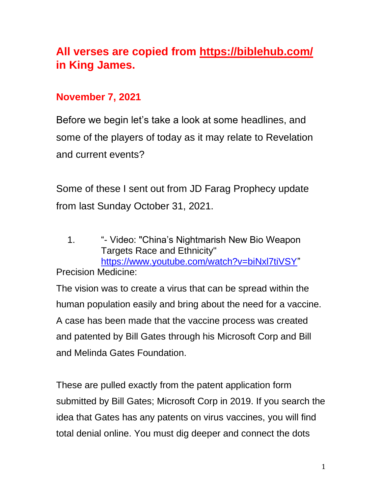# **All verses are copied from https://biblehub.com/ in King James.**

# **November 7, 2021**

Before we begin let's take a look at some headlines, and some of the players of today as it may relate to Revelation and current events?

Some of these I sent out from JD Farag Prophecy update from last Sunday October 31, 2021.

1. "- Video: "China's Nightmarish New Bio Weapon Targets Race and Ethnicity" [https://www.youtube.com/watch?v=biNxl7tiVSY"](https://www.youtube.com/watch?v=biNxl7tiVSY)

Precision Medicine:

The vision was to create a virus that can be spread within the human population easily and bring about the need for a vaccine. A case has been made that the vaccine process was created and patented by Bill Gates through his Microsoft Corp and Bill and Melinda Gates Foundation.

These are pulled exactly from the patent application form submitted by Bill Gates; Microsoft Corp in 2019. If you search the idea that Gates has any patents on virus vaccines, you will find total denial online. You must dig deeper and connect the dots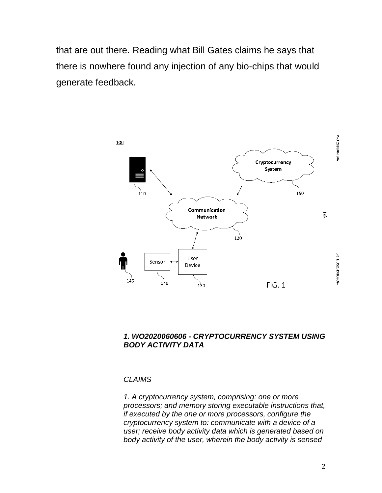that are out there. Reading what Bill Gates claims he says that there is nowhere found any injection of any bio-chips that would generate feedback.



#### *1. WO2020060606 - CRYPTOCURRENCY SYSTEM USING BODY ACTIVITY DATA*

#### *CLAIMS*

*1. A cryptocurrency system, comprising: one or more processors; and memory storing executable instructions that, if executed by the one or more processors, configure the cryptocurrency system to: communicate with a device of a user; receive body activity data which is generated based on body activity of the user, wherein the body activity is sensed*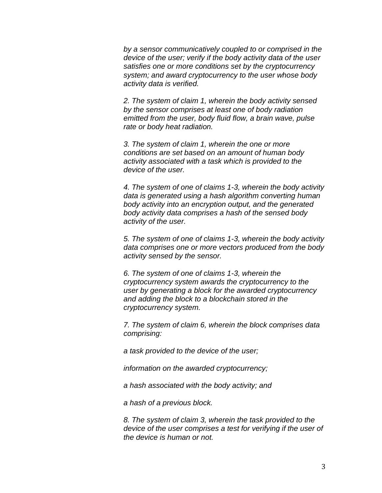*by a sensor communicatively coupled to or comprised in the device of the user; verify if the body activity data of the user satisfies one or more conditions set by the cryptocurrency system; and award cryptocurrency to the user whose body activity data is verified.* 

*2. The system of claim 1, wherein the body activity sensed by the sensor comprises at least one of body radiation emitted from the user, body fluid flow, a brain wave, pulse rate or body heat radiation.* 

*3. The system of claim 1, wherein the one or more conditions are set based on an amount of human body activity associated with a task which is provided to the device of the user.* 

*4. The system of one of claims 1-3, wherein the body activity data is generated using a hash algorithm converting human body activity into an encryption output, and the generated body activity data comprises a hash of the sensed body activity of the user.* 

*5. The system of one of claims 1-3, wherein the body activity data comprises one or more vectors produced from the body activity sensed by the sensor.* 

*6. The system of one of claims 1-3, wherein the cryptocurrency system awards the cryptocurrency to the user by generating a block for the awarded cryptocurrency and adding the block to a blockchain stored in the cryptocurrency system.* 

*7. The system of claim 6, wherein the block comprises data comprising:* 

*a task provided to the device of the user;* 

*information on the awarded cryptocurrency;* 

*a hash associated with the body activity; and* 

*a hash of a previous block.* 

*8. The system of claim 3, wherein the task provided to the device of the user comprises a test for verifying if the user of the device is human or not.*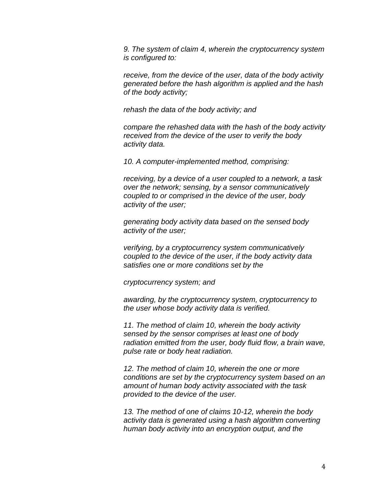*9. The system of claim 4, wherein the cryptocurrency system is configured to:* 

*receive, from the device of the user, data of the body activity generated before the hash algorithm is applied and the hash of the body activity;* 

*rehash the data of the body activity; and* 

*compare the rehashed data with the hash of the body activity received from the device of the user to verify the body activity data.* 

*10. A computer-implemented method, comprising:* 

*receiving, by a device of a user coupled to a network, a task over the network; sensing, by a sensor communicatively coupled to or comprised in the device of the user, body activity of the user;* 

*generating body activity data based on the sensed body activity of the user;* 

*verifying, by a cryptocurrency system communicatively coupled to the device of the user, if the body activity data satisfies one or more conditions set by the* 

*cryptocurrency system; and* 

*awarding, by the cryptocurrency system, cryptocurrency to the user whose body activity data is verified.* 

*11. The method of claim 10, wherein the body activity sensed by the sensor comprises at least one of body radiation emitted from the user, body fluid flow, a brain wave, pulse rate or body heat radiation.* 

*12. The method of claim 10, wherein the one or more conditions are set by the cryptocurrency system based on an amount of human body activity associated with the task provided to the device of the user.* 

*13. The method of one of claims 10-12, wherein the body activity data is generated using a hash algorithm converting human body activity into an encryption output, and the*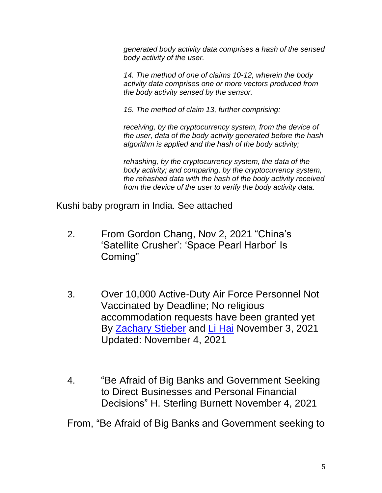*generated body activity data comprises a hash of the sensed body activity of the user.* 

*14. The method of one of claims 10-12, wherein the body activity data comprises one or more vectors produced from the body activity sensed by the sensor.* 

*15. The method of claim 13, further comprising:* 

*receiving, by the cryptocurrency system, from the device of the user, data of the body activity generated before the hash algorithm is applied and the hash of the body activity;* 

*rehashing, by the cryptocurrency system, the data of the body activity; and comparing, by the cryptocurrency system, the rehashed data with the hash of the body activity received from the device of the user to verify the body activity data.* 

Kushi baby program in India. See attached

- 2. From Gordon Chang, Nov 2, 2021 "China's 'Satellite Crusher': 'Space Pearl Harbor' Is Coming"
- 3. Over 10,000 Active-Duty Air Force Personnel Not Vaccinated by Deadline; No religious accommodation requests have been granted yet By [Zachary Stieber](https://www.theepochtimes.com/author-zachary-stieber) and [Li Hai](https://www.theepochtimes.com/author-li-hai) November 3, 2021 Updated: November 4, 2021
- 4. "Be Afraid of Big Banks and Government Seeking to Direct Businesses and Personal Financial Decisions" H. Sterling Burnett November 4, 2021

From, "Be Afraid of Big Banks and Government seeking to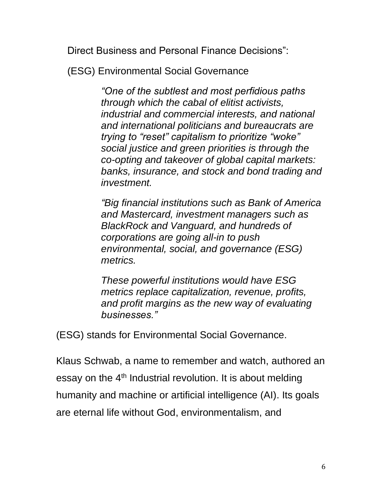Direct Business and Personal Finance Decisions":

(ESG) Environmental Social Governance

*"One of the subtlest and most perfidious paths through which the cabal of elitist activists, industrial and commercial interests, and national and international politicians and bureaucrats are trying to "reset" capitalism to prioritize "woke" social justice and green priorities is through the co-opting and takeover of global capital markets: banks, insurance, and stock and bond trading and investment.*

*"Big financial institutions such as Bank of America and Mastercard, investment managers such as BlackRock and Vanguard, and hundreds of corporations are going all-in to push environmental, social, and governance (ESG) metrics.*

*These powerful institutions would have ESG metrics replace capitalization, revenue, profits, and profit margins as the new way of evaluating businesses."*

(ESG) stands for Environmental Social Governance.

Klaus Schwab, a name to remember and watch, authored an essay on the  $4<sup>th</sup>$  Industrial revolution. It is about melding humanity and machine or artificial intelligence (AI). Its goals are eternal life without God, environmentalism, and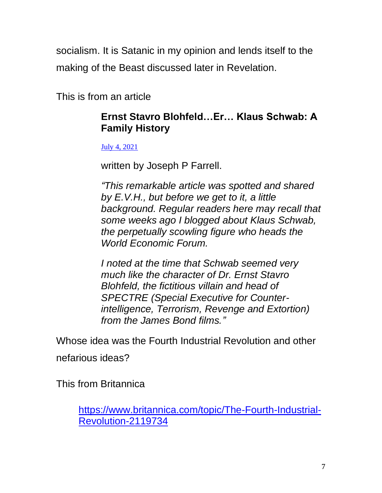socialism. It is Satanic in my opinion and lends itself to the making of the Beast discussed later in Revelation.

This is from an article

# **Ernst Stavro Blohfeld…Er… Klaus Schwab: A Family History**

[July 4, 2021](https://www.shiftfrequency.com/ernst-stavro-blohfelder-klaus-schwab-a-family-history/)

written by Joseph P Farrell.

*"This remarkable article was spotted and shared by E.V.H., but before we get to it, a little background. Regular readers here may recall that some weeks ago I blogged about Klaus Schwab, the perpetually scowling figure who heads the World Economic Forum.*

*I noted at the time that Schwab seemed very much like the character of Dr. Ernst Stavro Blohfeld, the fictitious villain and head of SPECTRE (Special Executive for Counterintelligence, Terrorism, Revenge and Extortion) from the James Bond films."*

Whose idea was the Fourth Industrial Revolution and other nefarious ideas?

This from Britannica

[https://www.britannica.com/topic/The-Fourth-Industrial-](https://www.britannica.com/topic/The-Fourth-Industrial-Revolution-2119734)[Revolution-2119734](https://www.britannica.com/topic/The-Fourth-Industrial-Revolution-2119734)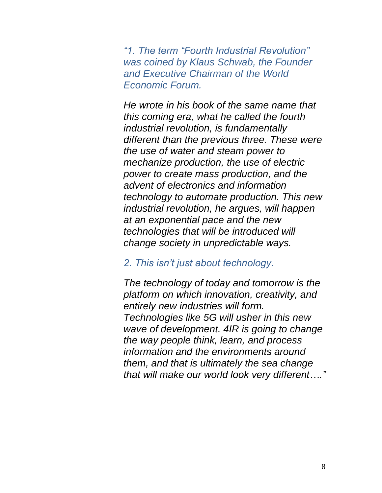*"1. The term "Fourth Industrial Revolution" was coined by Klaus Schwab, the Founder and Executive Chairman of the World Economic Forum.*

*He wrote in his book of the same name that this coming era, what he called the fourth industrial revolution, is fundamentally different than the previous three. These were the use of water and steam power to mechanize production, the use of electric power to create mass production, and the advent of electronics and information technology to automate production. This new industrial revolution, he argues, will happen at an exponential pace and the new technologies that will be introduced will change society in unpredictable ways.*

#### *2. This isn't just about technology.*

*The technology of today and tomorrow is the platform on which innovation, creativity, and entirely new industries will form. Technologies like 5G will usher in this new wave of development. 4IR is going to change the way people think, learn, and process information and the environments around them, and that is ultimately the sea change that will make our world look very different…."*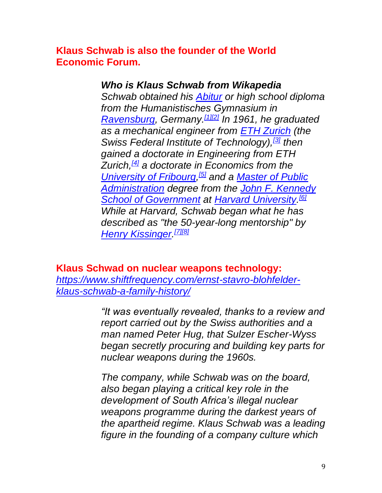**Klaus Schwab is also the founder of the World Economic Forum.**

### *Who is Klaus Schwab from Wikapedia*

*Schwab obtained his [Abitur](https://en.wikipedia.org/wiki/Abitur) or high school diploma from the Humanistisches Gymnasium in [Ravensburg,](https://en.wikipedia.org/wiki/Ravensburg) Germany.[\[1\]](https://en.wikipedia.org/wiki/Klaus_Schwab#cite_note-1)[\[2\]](https://en.wikipedia.org/wiki/Klaus_Schwab#cite_note-2) In 1961, he graduated as a mechanical engineer from [ETH Zurich](https://en.wikipedia.org/wiki/ETH_Zurich) (the Swiss Federal Institute of Technology),[\[3\]](https://en.wikipedia.org/wiki/Klaus_Schwab#cite_note-3) then gained a doctorate in Engineering from ETH Zurich,[\[4\]](https://en.wikipedia.org/wiki/Klaus_Schwab#cite_note-4) a doctorate in Economics from the [University of Fribourg,](https://en.wikipedia.org/wiki/University_of_Fribourg) [\[5\]](https://en.wikipedia.org/wiki/Klaus_Schwab#cite_note-5) and a [Master of Public](https://en.wikipedia.org/wiki/Master_of_Public_Administration)  [Administration](https://en.wikipedia.org/wiki/Master_of_Public_Administration) degree from the [John F. Kennedy](https://en.wikipedia.org/wiki/John_F._Kennedy_School_of_Government)  [School of Government](https://en.wikipedia.org/wiki/John_F._Kennedy_School_of_Government) at [Harvard University.](https://en.wikipedia.org/wiki/Harvard_University) [\[6\]](https://en.wikipedia.org/wiki/Klaus_Schwab#cite_note-6) While at Harvard, Schwab began what he has described as "the 50-year-long mentorship" by [Henry Kissinger.](https://en.wikipedia.org/wiki/Henry_Kissinger) [\[7\]](https://en.wikipedia.org/wiki/Klaus_Schwab#cite_note-7)[\[8\]](https://en.wikipedia.org/wiki/Klaus_Schwab#cite_note-8)*

### **Klaus Schwad on nuclear weapons technology:**

*[https://www.shiftfrequency.com/ernst-stavro-blohfelder](https://www.shiftfrequency.com/ernst-stavro-blohfelder-klaus-schwab-a-family-history/)[klaus-schwab-a-family-history/](https://www.shiftfrequency.com/ernst-stavro-blohfelder-klaus-schwab-a-family-history/)*

> *"It was eventually revealed, thanks to a review and report carried out by the Swiss authorities and a man named Peter Hug, that Sulzer Escher-Wyss began secretly procuring and building key parts for nuclear weapons during the 1960s.*

> *The company, while Schwab was on the board, also began playing a critical key role in the development of South Africa's illegal nuclear weapons programme during the darkest years of the apartheid regime. Klaus Schwab was a leading figure in the founding of a company culture which*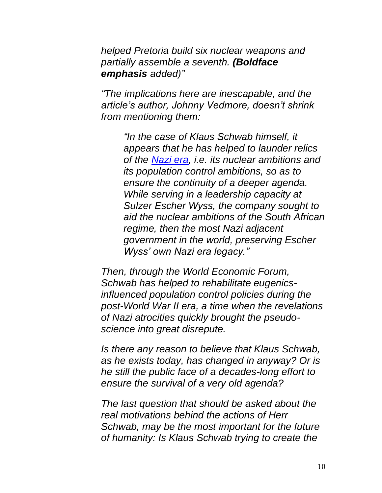*helped Pretoria build six nuclear weapons and partially assemble a seventh. (Boldface emphasis added)"*

*"The implications here are inescapable, and the article's author, Johnny Vedmore, doesn't shrink from mentioning them:*

> *"In the case of Klaus Schwab himself, it appears that he has helped to launder relics of the [Nazi era,](https://www.shiftfrequency.com/rockefeller-standard-oil-farben-connection/) i.e. its nuclear ambitions and its population control ambitions, so as to ensure the continuity of a deeper agenda. While serving in a leadership capacity at Sulzer Escher Wyss, the company sought to aid the nuclear ambitions of the South African regime, then the most Nazi adjacent government in the world, preserving Escher Wyss' own Nazi era legacy."*

*Then, through the World Economic Forum, Schwab has helped to rehabilitate eugenicsinfluenced population control policies during the post-World War II era, a time when the revelations of Nazi atrocities quickly brought the pseudoscience into great disrepute.*

*Is there any reason to believe that Klaus Schwab, as he exists today, has changed in anyway? Or is he still the public face of a decades-long effort to ensure the survival of a very old agenda?*

*The last question that should be asked about the real motivations behind the actions of Herr Schwab, may be the most important for the future of humanity: Is Klaus Schwab trying to create the*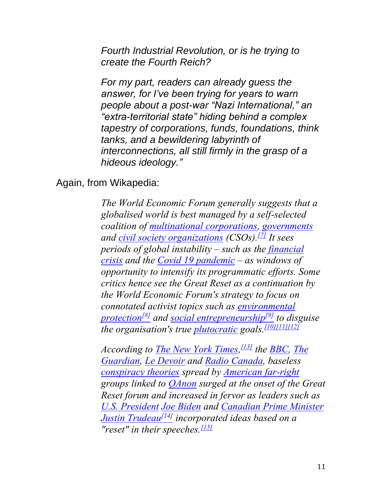*Fourth Industrial Revolution, or is he trying to create the Fourth Reich?*

*For my part, readers can already guess the answer, for I've been trying for years to warn people about a post-war "Nazi International," an "extra-territorial state" hiding behind a complex tapestry of corporations, funds, foundations, think tanks, and a bewildering labyrinth of interconnections, all still firmly in the grasp of a hideous ideology."*

#### Again, from Wikapedia:

*The World Economic Forum generally suggests that a globalised world is best managed by a self-selected coalition of [multinational corporations,](https://en.wikipedia.org/wiki/Multinational_corporation) [governments](https://en.wikipedia.org/wiki/Government) and [civil society organizations](https://en.wikipedia.org/wiki/Civil_society_organization) (CSOs).[\[7\]](https://en.wikipedia.org/wiki/Great_Reset#cite_note-7) It sees periods of global instability – such as the [financial](https://en.wikipedia.org/wiki/Financial_crisis_of_2007%E2%80%932008)  [crisis](https://en.wikipedia.org/wiki/Financial_crisis_of_2007%E2%80%932008) and the [Covid 19 pandemic](https://en.wikipedia.org/wiki/COVID-19_pandemic) – as windows of opportunity to intensify its programmatic efforts. Some critics hence see the Great Reset as a continuation by the World Economic Forum's strategy to focus on connotated activist topics such as [environmental](https://en.wikipedia.org/wiki/Environmental_protection)  [protection](https://en.wikipedia.org/wiki/Environmental_protection)[\[8\]](https://en.wikipedia.org/wiki/Great_Reset#cite_note-8) and [social entrepreneurship](https://en.wikipedia.org/wiki/Social_entrepreneurship)[\[9\]](https://en.wikipedia.org/wiki/Great_Reset#cite_note-9) to disguise the organisation's true [plutocratic](https://en.wikipedia.org/wiki/Plutocracy) goals.[\[10\]](https://en.wikipedia.org/wiki/Great_Reset#cite_note-10)[\[11\]](https://en.wikipedia.org/wiki/Great_Reset#cite_note-11)[\[12\]](https://en.wikipedia.org/wiki/Great_Reset#cite_note-12)*

*According to [The New York Times,](https://en.wikipedia.org/wiki/The_New_York_Times) [\[13\]](https://en.wikipedia.org/wiki/Great_Reset#cite_note-nyt111620-13) the [BBC,](https://en.wikipedia.org/wiki/BBC) [The](https://en.wikipedia.org/wiki/The_Guardian)  [Guardian,](https://en.wikipedia.org/wiki/The_Guardian) [Le Devoir](https://en.wikipedia.org/wiki/Le_Devoir) and [Radio Canada,](https://en.wikipedia.org/wiki/Radio_Canada) baseless [conspiracy theories](https://en.wikipedia.org/wiki/Conspiracy_theory) spread by [American far-right](https://en.wikipedia.org/wiki/Radical_right_(United_States)) groups linked to [QAnon](https://en.wikipedia.org/wiki/QAnon) surged at the onset of the Great Reset forum and increased in fervor as leaders such as [U.S. President](https://en.wikipedia.org/wiki/President_of_the_United_States) [Joe Biden](https://en.wikipedia.org/wiki/Joe_Biden) and [Canadian Prime Minister](https://en.wikipedia.org/wiki/Prime_Minister_of_Canada) [Justin Trudeau](https://en.wikipedia.org/wiki/Justin_Trudeau)[\[14\]](https://en.wikipedia.org/wiki/Great_Reset#cite_note-RC_DeRosa_20201118-14) incorporated ideas based on a "reset" in their speeches.[\[15\]](https://en.wikipedia.org/wiki/Great_Reset#cite_note-BBC20201122-15)*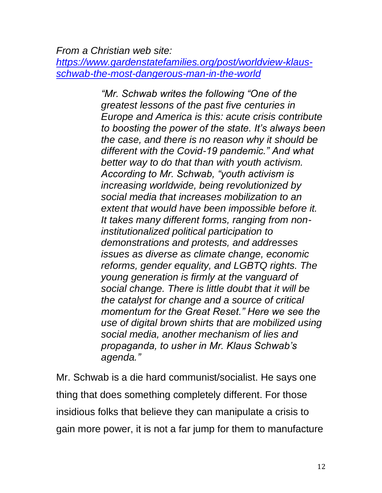*From a Christian web site:*

*[https://www.gardenstatefamilies.org/post/worldview-klaus](https://www.gardenstatefamilies.org/post/worldview-klaus-schwab-the-most-dangerous-man-in-the-world)[schwab-the-most-dangerous-man-in-the-world](https://www.gardenstatefamilies.org/post/worldview-klaus-schwab-the-most-dangerous-man-in-the-world)*

> *"Mr. Schwab writes the following "One of the greatest lessons of the past five centuries in Europe and America is this: acute crisis contribute to boosting the power of the state. It's always been the case, and there is no reason why it should be different with the Covid-19 pandemic." And what better way to do that than with youth activism. According to Mr. Schwab, "youth activism is increasing worldwide, being revolutionized by social media that increases mobilization to an extent that would have been impossible before it. It takes many different forms, ranging from noninstitutionalized political participation to demonstrations and protests, and addresses issues as diverse as climate change, economic reforms, gender equality, and LGBTQ rights. The young generation is firmly at the vanguard of social change. There is little doubt that it will be the catalyst for change and a source of critical momentum for the Great Reset." Here we see the use of digital brown shirts that are mobilized using social media, another mechanism of lies and propaganda, to usher in Mr. Klaus Schwab's agenda."*

Mr. Schwab is a die hard communist/socialist. He says one thing that does something completely different. For those insidious folks that believe they can manipulate a crisis to gain more power, it is not a far jump for them to manufacture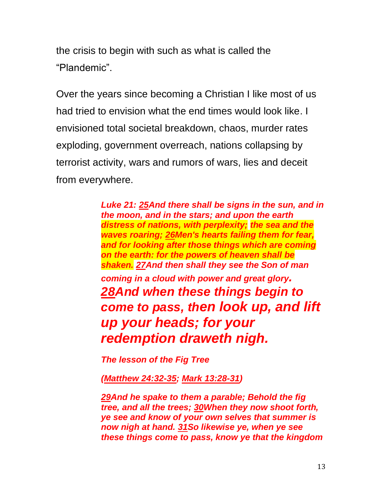the crisis to begin with such as what is called the "Plandemic".

Over the years since becoming a Christian I like most of us had tried to envision what the end times would look like. I envisioned total societal breakdown, chaos, murder rates exploding, government overreach, nations collapsing by terrorist activity, wars and rumors of wars, lies and deceit from everywhere.

> *Luke 21: [25A](https://biblehub.com/luke/21-25.htm)nd there shall be signs in the sun, and in the moon, and in the stars; and upon the earth distress of nations, with perplexity; the sea and the waves roaring; [26M](https://biblehub.com/luke/21-26.htm)en's hearts failing them for fear, and for looking after those things which are coming on the earth: for the powers of heaven shall be shaken. [27A](https://biblehub.com/luke/21-27.htm)nd then shall they see the Son of man coming in a cloud with power and great glory. [28A](https://biblehub.com/luke/21-28.htm)nd when these things begin to come to pass, then look up, and lift up your heads; for your redemption draweth nigh.*

*The lesson of the Fig Tree*

*[\(Matthew 24:32-35;](https://biblehub.com/kjv/matthew/24.htm#32) [Mark 13:28-31\)](https://biblehub.com/kjv/mark/13.htm#28)*

*[29A](https://biblehub.com/luke/21-29.htm)nd he spake to them a parable; Behold the fig tree, and all the trees; [30W](https://biblehub.com/luke/21-30.htm)hen they now shoot forth, ye see and know of your own selves that summer is now nigh at hand. [31S](https://biblehub.com/luke/21-31.htm)o likewise ye, when ye see these things come to pass, know ye that the kingdom*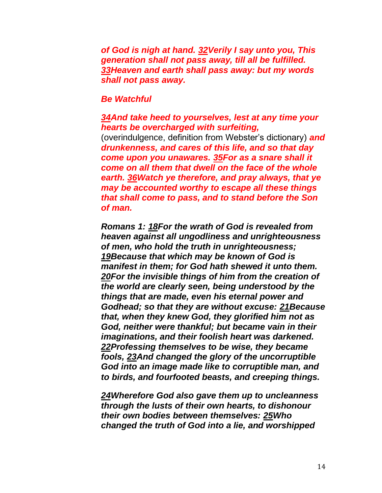*of God is nigh at hand. [32V](https://biblehub.com/luke/21-32.htm)erily I say unto you, This generation shall not pass away, till all be fulfilled. [33H](https://biblehub.com/luke/21-33.htm)eaven and earth shall pass away: but my words shall not pass away.*

#### *Be Watchful*

#### *[34A](https://biblehub.com/luke/21-34.htm)nd take heed to yourselves, lest at any time your hearts be overcharged with surfeiting,*

(overindulgence, definition from Webster's dictionary) *and drunkenness, and cares of this life, and so that day come upon you unawares. [35F](https://biblehub.com/luke/21-35.htm)or as a snare shall it come on all them that dwell on the face of the whole earth. [36W](https://biblehub.com/luke/21-36.htm)atch ye therefore, and pray always, that ye may be accounted worthy to escape all these things that shall come to pass, and to stand before the Son of man.*

*Romans 1: [18F](https://biblehub.com/romans/1-18.htm)or the wrath of God is revealed from heaven against all ungodliness and unrighteousness of men, who hold the truth in unrighteousness; [19B](https://biblehub.com/romans/1-19.htm)ecause that which may be known of God is manifest in them; for God hath shewed it unto them. [20F](https://biblehub.com/romans/1-20.htm)or the invisible things of him from the creation of the world are clearly seen, being understood by the things that are made, even his eternal power and Godhead; so that they are without excuse: [21B](https://biblehub.com/romans/1-21.htm)ecause that, when they knew God, they glorified him not as God, neither were thankful; but became vain in their imaginations, and their foolish heart was darkened. [22P](https://biblehub.com/romans/1-22.htm)rofessing themselves to be wise, they became fools, [23A](https://biblehub.com/romans/1-23.htm)nd changed the glory of the uncorruptible God into an image made like to corruptible man, and to birds, and fourfooted beasts, and creeping things.*

*[24W](https://biblehub.com/romans/1-24.htm)herefore God also gave them up to uncleanness through the lusts of their own hearts, to dishonour their own bodies between themselves: [25W](https://biblehub.com/romans/1-25.htm)ho changed the truth of God into a lie, and worshipped*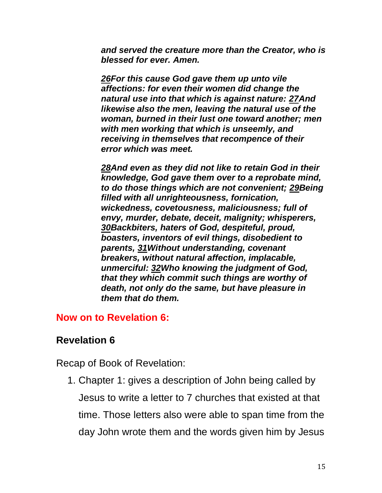*and served the creature more than the Creator, who is blessed for ever. Amen.*

*[26F](https://biblehub.com/romans/1-26.htm)or this cause God gave them up unto vile affections: for even their women did change the natural use into that which is against nature: [27A](https://biblehub.com/romans/1-27.htm)nd likewise also the men, leaving the natural use of the woman, burned in their lust one toward another; men with men working that which is unseemly, and receiving in themselves that recompence of their error which was meet.*

*[28A](https://biblehub.com/romans/1-28.htm)nd even as they did not like to retain God in their knowledge, God gave them over to a reprobate mind, to do those things which are not convenient; [29B](https://biblehub.com/romans/1-29.htm)eing filled with all unrighteousness, fornication, wickedness, covetousness, maliciousness; full of envy, murder, debate, deceit, malignity; whisperers, [30B](https://biblehub.com/romans/1-30.htm)ackbiters, haters of God, despiteful, proud, boasters, inventors of evil things, disobedient to parents, [31W](https://biblehub.com/romans/1-31.htm)ithout understanding, covenant breakers, without natural affection, implacable, unmerciful: [32W](https://biblehub.com/romans/1-32.htm)ho knowing the judgment of God, that they which commit such things are worthy of death, not only do the same, but have pleasure in them that do them.*

### **Now on to Revelation 6:**

## **Revelation 6**

Recap of Book of Revelation:

1. Chapter 1: gives a description of John being called by Jesus to write a letter to 7 churches that existed at that time. Those letters also were able to span time from the day John wrote them and the words given him by Jesus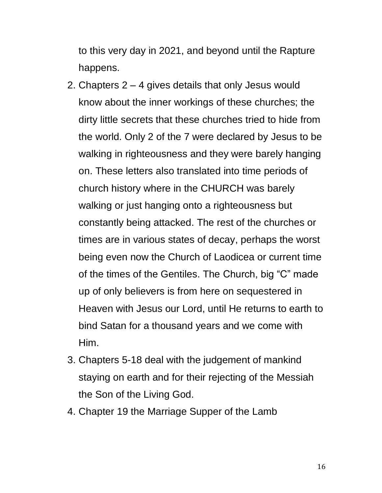to this very day in 2021, and beyond until the Rapture happens.

- 2. Chapters 2 4 gives details that only Jesus would know about the inner workings of these churches; the dirty little secrets that these churches tried to hide from the world. Only 2 of the 7 were declared by Jesus to be walking in righteousness and they were barely hanging on. These letters also translated into time periods of church history where in the CHURCH was barely walking or just hanging onto a righteousness but constantly being attacked. The rest of the churches or times are in various states of decay, perhaps the worst being even now the Church of Laodicea or current time of the times of the Gentiles. The Church, big "C" made up of only believers is from here on sequestered in Heaven with Jesus our Lord, until He returns to earth to bind Satan for a thousand years and we come with Him.
- 3. Chapters 5-18 deal with the judgement of mankind staying on earth and for their rejecting of the Messiah the Son of the Living God.
- 4. Chapter 19 the Marriage Supper of the Lamb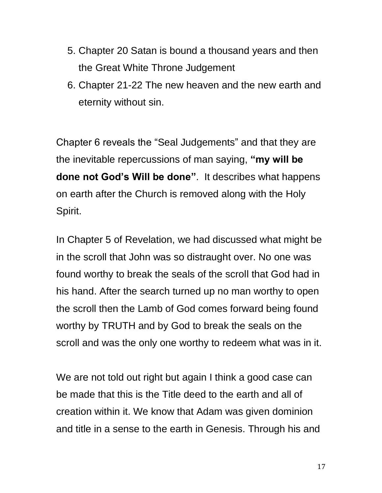- 5. Chapter 20 Satan is bound a thousand years and then the Great White Throne Judgement
- 6. Chapter 21-22 The new heaven and the new earth and eternity without sin.

Chapter 6 reveals the "Seal Judgements" and that they are the inevitable repercussions of man saying, **"my will be done not God's Will be done"**. It describes what happens on earth after the Church is removed along with the Holy Spirit.

In Chapter 5 of Revelation, we had discussed what might be in the scroll that John was so distraught over. No one was found worthy to break the seals of the scroll that God had in his hand. After the search turned up no man worthy to open the scroll then the Lamb of God comes forward being found worthy by TRUTH and by God to break the seals on the scroll and was the only one worthy to redeem what was in it.

We are not told out right but again I think a good case can be made that this is the Title deed to the earth and all of creation within it. We know that Adam was given dominion and title in a sense to the earth in Genesis. Through his and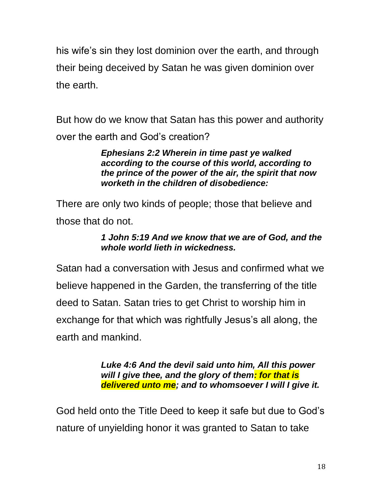his wife's sin they lost dominion over the earth, and through their being deceived by Satan he was given dominion over the earth.

But how do we know that Satan has this power and authority over the earth and God's creation?

> *Ephesians 2:2 Wherein in time past ye walked according to the course of this world, according to the prince of the power of the air, the spirit that now worketh in the children of disobedience:*

There are only two kinds of people; those that believe and those that do not.

### *1 John 5:19 And we know that we are of God, and the whole world lieth in wickedness.*

Satan had a conversation with Jesus and confirmed what we believe happened in the Garden, the transferring of the title deed to Satan. Satan tries to get Christ to worship him in exchange for that which was rightfully Jesus's all along, the earth and mankind.

> *Luke 4:6 And the devil said unto him, All this power will I give thee, and the glory of them: for that is delivered unto me; and to whomsoever I will I give it.*

God held onto the Title Deed to keep it safe but due to God's nature of unyielding honor it was granted to Satan to take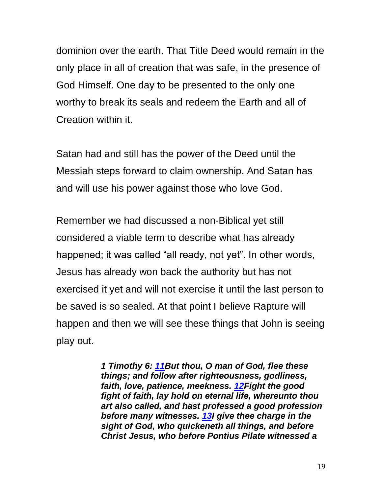dominion over the earth. That Title Deed would remain in the only place in all of creation that was safe, in the presence of God Himself. One day to be presented to the only one worthy to break its seals and redeem the Earth and all of Creation within it.

Satan had and still has the power of the Deed until the Messiah steps forward to claim ownership. And Satan has and will use his power against those who love God.

Remember we had discussed a non-Biblical yet still considered a viable term to describe what has already happened; it was called "all ready, not yet". In other words, Jesus has already won back the authority but has not exercised it yet and will not exercise it until the last person to be saved is so sealed. At that point I believe Rapture will happen and then we will see these things that John is seeing play out.

> *1 Timothy 6: [11B](http://biblehub.com/1_timothy/6-11.htm)ut thou, O man of God, flee these things; and follow after righteousness, godliness, faith, love, patience, meekness. [12F](http://biblehub.com/1_timothy/6-12.htm)ight the good fight of faith, lay hold on eternal life, whereunto thou art also called, and hast professed a good profession before many witnesses. [13I](http://biblehub.com/1_timothy/6-13.htm) give thee charge in the sight of God, who quickeneth all things, and before Christ Jesus, who before Pontius Pilate witnessed a*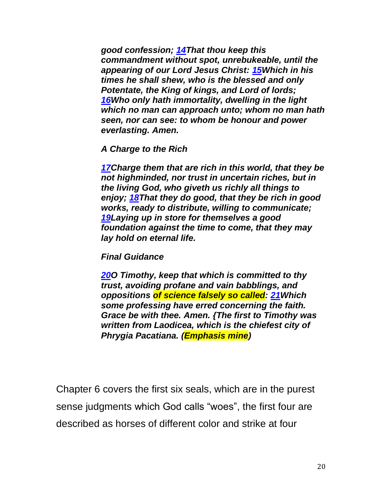*good confession; [14T](http://biblehub.com/1_timothy/6-14.htm)hat thou keep this commandment without spot, unrebukeable, until the appearing of our Lord Jesus Christ: [15W](http://biblehub.com/1_timothy/6-15.htm)hich in his times he shall shew, who is the blessed and only Potentate, the King of kings, and Lord of lords; [16W](http://biblehub.com/1_timothy/6-16.htm)ho only hath immortality, dwelling in the light which no man can approach unto; whom no man hath seen, nor can see: to whom be honour and power everlasting. Amen.*

#### *A Charge to the Rich*

*[17C](http://biblehub.com/1_timothy/6-17.htm)harge them that are rich in this world, that they be not highminded, nor trust in uncertain riches, but in the living God, who giveth us richly all things to enjoy; [18T](http://biblehub.com/1_timothy/6-18.htm)hat they do good, that they be rich in good works, ready to distribute, willing to communicate; [19L](http://biblehub.com/1_timothy/6-19.htm)aying up in store for themselves a good foundation against the time to come, that they may lay hold on eternal life.*

#### *Final Guidance*

*[20O](http://biblehub.com/1_timothy/6-20.htm) Timothy, keep that which is committed to thy trust, avoiding profane and vain babblings, and oppositions of science falsely so called: [21W](http://biblehub.com/1_timothy/6-21.htm)hich some professing have erred concerning the faith. Grace be with thee. Amen. {The first to Timothy was written from Laodicea, which is the chiefest city of Phrygia Pacatiana. (Emphasis mine)*

Chapter 6 covers the first six seals, which are in the purest sense judgments which God calls "woes", the first four are described as horses of different color and strike at four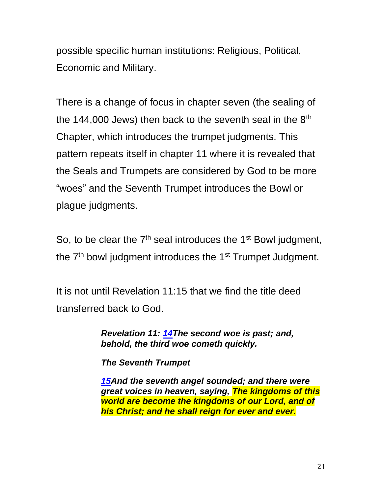possible specific human institutions: Religious, Political, Economic and Military.

There is a change of focus in chapter seven (the sealing of the 144,000 Jews) then back to the seventh seal in the  $8<sup>th</sup>$ Chapter, which introduces the trumpet judgments. This pattern repeats itself in chapter 11 where it is revealed that the Seals and Trumpets are considered by God to be more "woes" and the Seventh Trumpet introduces the Bowl or plague judgments.

So, to be clear the  $7<sup>th</sup>$  seal introduces the 1<sup>st</sup> Bowl judgment, the  $7<sup>th</sup>$  bowl judgment introduces the 1<sup>st</sup> Trumpet Judgment.

It is not until Revelation 11:15 that we find the title deed transferred back to God.

> *Revelation 11: [14T](http://biblehub.com/revelation/11-14.htm)he second woe is past; and, behold, the third woe cometh quickly.*

*The Seventh Trumpet*

*[15A](http://biblehub.com/revelation/11-15.htm)nd the seventh angel sounded; and there were great voices in heaven, saying, The kingdoms of this world are become the kingdoms of our Lord, and of his Christ; and he shall reign for ever and ever.*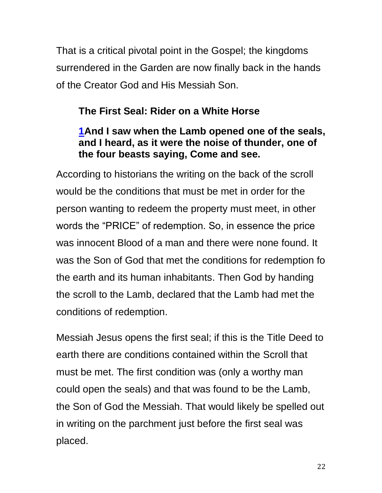That is a critical pivotal point in the Gospel; the kingdoms surrendered in the Garden are now finally back in the hands of the Creator God and His Messiah Son.

# **The First Seal: Rider on a White Horse**

# **[1A](http://biblehub.com/revelation/6-1.htm)nd I saw when the Lamb opened one of the seals, and I heard, as it were the noise of thunder, one of the four beasts saying, Come and see.**

According to historians the writing on the back of the scroll would be the conditions that must be met in order for the person wanting to redeem the property must meet, in other words the "PRICE" of redemption. So, in essence the price was innocent Blood of a man and there were none found. It was the Son of God that met the conditions for redemption fo the earth and its human inhabitants. Then God by handing the scroll to the Lamb, declared that the Lamb had met the conditions of redemption.

Messiah Jesus opens the first seal; if this is the Title Deed to earth there are conditions contained within the Scroll that must be met. The first condition was (only a worthy man could open the seals) and that was found to be the Lamb, the Son of God the Messiah. That would likely be spelled out in writing on the parchment just before the first seal was placed.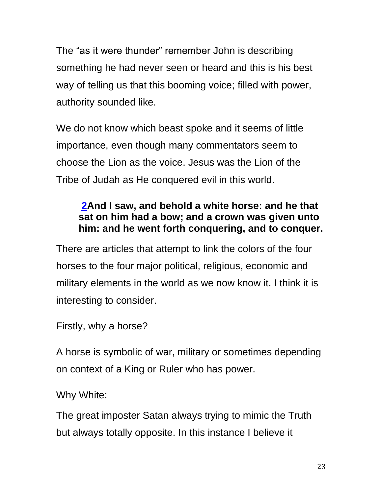The "as it were thunder" remember John is describing something he had never seen or heard and this is his best way of telling us that this booming voice; filled with power, authority sounded like.

We do not know which beast spoke and it seems of little importance, even though many commentators seem to choose the Lion as the voice. Jesus was the Lion of the Tribe of Judah as He conquered evil in this world.

# **[2A](http://biblehub.com/revelation/6-2.htm)nd I saw, and behold a white horse: and he that sat on him had a bow; and a crown was given unto him: and he went forth conquering, and to conquer.**

There are articles that attempt to link the colors of the four horses to the four major political, religious, economic and military elements in the world as we now know it. I think it is interesting to consider.

Firstly, why a horse?

A horse is symbolic of war, military or sometimes depending on context of a King or Ruler who has power.

Why White:

The great imposter Satan always trying to mimic the Truth but always totally opposite. In this instance I believe it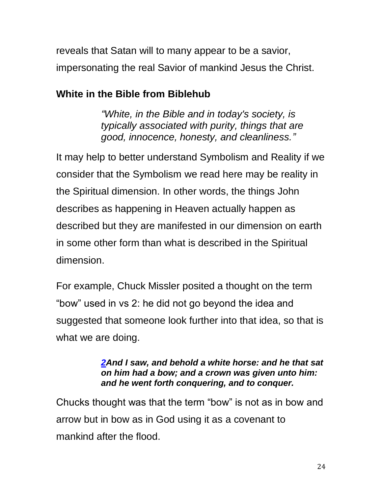reveals that Satan will to many appear to be a savior, impersonating the real Savior of mankind Jesus the Christ.

# **White in the Bible from Biblehub**

*"White, in the Bible and in today's society, is typically associated with purity, things that are good, innocence, honesty, and cleanliness."*

It may help to better understand Symbolism and Reality if we consider that the Symbolism we read here may be reality in the Spiritual dimension. In other words, the things John describes as happening in Heaven actually happen as described but they are manifested in our dimension on earth in some other form than what is described in the Spiritual dimension.

For example, Chuck Missler posited a thought on the term "bow" used in vs 2: he did not go beyond the idea and suggested that someone look further into that idea, so that is what we are doing.

### *[2A](http://biblehub.com/revelation/6-2.htm)nd I saw, and behold a white horse: and he that sat on him had a bow; and a crown was given unto him: and he went forth conquering, and to conquer.*

Chucks thought was that the term "bow" is not as in bow and arrow but in bow as in God using it as a covenant to mankind after the flood.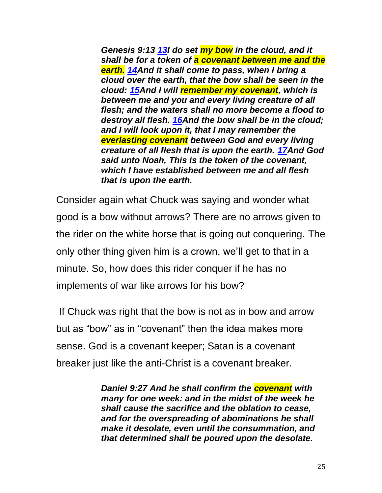*Genesis 9:13 [13I](https://biblehub.com/genesis/9-13.htm) do set my bow in the cloud, and it shall be for a token of a covenant between me and the earth. [14A](https://biblehub.com/genesis/9-14.htm)nd it shall come to pass, when I bring a cloud over the earth, that the bow shall be seen in the cloud: [15A](https://biblehub.com/genesis/9-15.htm)nd I will remember my covenant, which is between me and you and every living creature of all flesh; and the waters shall no more become a flood to destroy all flesh. [16A](https://biblehub.com/genesis/9-16.htm)nd the bow shall be in the cloud; and I will look upon it, that I may remember the everlasting covenant between God and every living creature of all flesh that is upon the earth. [17A](https://biblehub.com/genesis/9-17.htm)nd God said unto Noah, This is the token of the covenant, which I have established between me and all flesh that is upon the earth.*

Consider again what Chuck was saying and wonder what good is a bow without arrows? There are no arrows given to the rider on the white horse that is going out conquering. The only other thing given him is a crown, we'll get to that in a minute. So, how does this rider conquer if he has no implements of war like arrows for his bow?

If Chuck was right that the bow is not as in bow and arrow but as "bow" as in "covenant" then the idea makes more sense. God is a covenant keeper; Satan is a covenant breaker just like the anti-Christ is a covenant breaker.

> *Daniel 9:27 And he shall confirm the covenant with many for one week: and in the midst of the week he shall cause the sacrifice and the oblation to cease, and for the overspreading of abominations he shall make it desolate, even until the consummation, and that determined shall be poured upon the desolate.*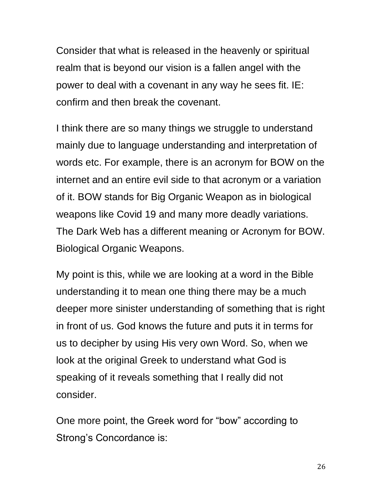Consider that what is released in the heavenly or spiritual realm that is beyond our vision is a fallen angel with the power to deal with a covenant in any way he sees fit. IE: confirm and then break the covenant.

I think there are so many things we struggle to understand mainly due to language understanding and interpretation of words etc. For example, there is an acronym for BOW on the internet and an entire evil side to that acronym or a variation of it. BOW stands for Big Organic Weapon as in biological weapons like Covid 19 and many more deadly variations. The Dark Web has a different meaning or Acronym for BOW. Biological Organic Weapons.

My point is this, while we are looking at a word in the Bible understanding it to mean one thing there may be a much deeper more sinister understanding of something that is right in front of us. God knows the future and puts it in terms for us to decipher by using His very own Word. So, when we look at the original Greek to understand what God is speaking of it reveals something that I really did not consider.

One more point, the Greek word for "bow" according to Strong's Concordance is: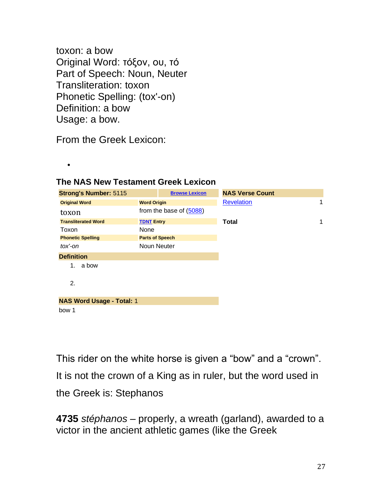toxon: a bow Original Word: τόξον, ου, τό Part of Speech: Noun, Neuter Transliteration: toxon Phonetic Spelling: (tox'-on) Definition: a bow Usage: a bow.

From the Greek Lexicon:

•

| <b>Strong's Number: 5115</b>     | <b>Browse Lexicon</b>   | <b>NAS Verse Count</b> |
|----------------------------------|-------------------------|------------------------|
| <b>Original Word</b>             | <b>Word Origin</b>      | <b>Revelation</b><br>1 |
| toxon                            | from the base of (5088) |                        |
| <b>Transliterated Word</b>       | <b>TDNT Entry</b>       | 1<br><b>Total</b>      |
| Toxon                            | None                    |                        |
| <b>Phonetic Spelling</b>         | <b>Parts of Speech</b>  |                        |
| $tox'$ -on                       | Noun Neuter             |                        |
| <b>Definition</b>                |                         |                        |
| a bow<br>1.                      |                         |                        |
|                                  |                         |                        |
| 2.                               |                         |                        |
|                                  |                         |                        |
| <b>NAS Word Usage - Total: 1</b> |                         |                        |
| bow 1                            |                         |                        |

### **The NAS New Testament Greek Lexicon**

This rider on the white horse is given a "bow" and a "crown". It is not the crown of a King as in ruler, but the word used in the Greek is: Stephanos

**4735** *stéphanos* – properly, a wreath (garland), awarded to a victor in the ancient athletic games (like the Greek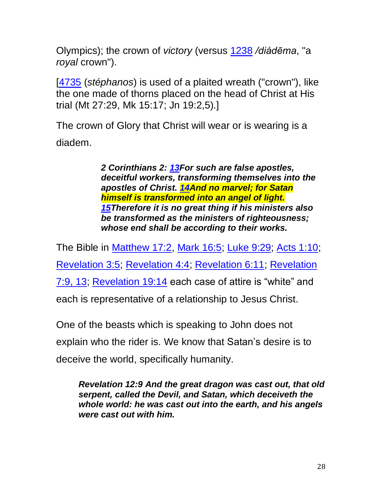Olympics); the crown of *victory* (versus [1238](https://biblehub.com/greek/1238.htm) */diádēma*, "a *royal* crown").

[\[4735](https://biblehub.com/greek/4735.htm) (*stéphanos*) is used of a plaited wreath ("crown"), like the one made of thorns placed on the head of Christ at His trial (Mt 27:29, Mk 15:17; Jn 19:2,5).]

The crown of Glory that Christ will wear or is wearing is a diadem.

> *2 Corinthians 2: [13F](http://biblehub.com/2_corinthians/11-13.htm)or such are false apostles, deceitful workers, transforming themselves into the apostles of Christ. [14A](http://biblehub.com/2_corinthians/11-14.htm)nd no marvel; for Satan himself is transformed into an angel of light. [15T](http://biblehub.com/2_corinthians/11-15.htm)herefore it is no great thing if his ministers also be transformed as the ministers of righteousness; whose end shall be according to their works.*

The Bible in [Matthew 17:2,](http://biblehub.com/interlinear/matthew/17-2.htm) [Mark 16:5;](http://biblehub.com/interlinear/mark/16-5.htm) [Luke 9:29;](http://biblehub.com/interlinear/luke/9-29.htm) [Acts 1:10;](http://biblehub.com/interlinear/acts/1-10.htm) [Revelation 3:5;](http://biblehub.com/interlinear/revelation/3-5.htm) [Revelation 4:4;](http://biblehub.com/interlinear/revelation/4-4.htm) [Revelation 6:11;](http://biblehub.com/interlinear/revelation/6-11.htm) [Revelation](http://biblehub.com/interlinear/revelation/7-9.htm)  [7:9, 13;](http://biblehub.com/interlinear/revelation/7-9.htm) [Revelation 19:14](http://biblehub.com/interlinear/revelation/19-14.htm) each case of attire is "white" and each is representative of a relationship to Jesus Christ.

One of the beasts which is speaking to John does not explain who the rider is. We know that Satan's desire is to deceive the world, specifically humanity.

*Revelation 12:9 And the great dragon was cast out, that old serpent, called the Devil, and Satan, which deceiveth the whole world: he was cast out into the earth, and his angels were cast out with him.*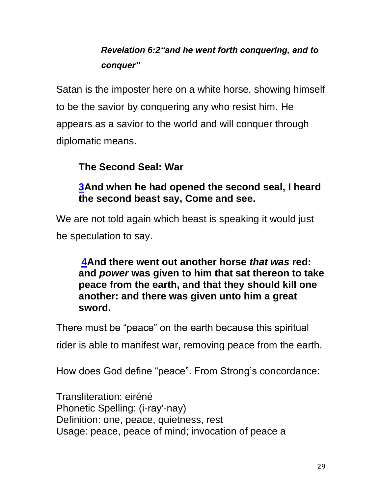# *Revelation 6:2"and he went forth conquering, and to conquer"*

Satan is the imposter here on a white horse, showing himself to be the savior by conquering any who resist him. He appears as a savior to the world and will conquer through diplomatic means.

# **The Second Seal: War**

# **[3A](http://biblehub.com/revelation/6-3.htm)nd when he had opened the second seal, I heard the second beast say, Come and see.**

We are not told again which beast is speaking it would just be speculation to say.

**[4A](http://biblehub.com/revelation/6-4.htm)nd there went out another horse** *that was* **red: and** *power* **was given to him that sat thereon to take peace from the earth, and that they should kill one another: and there was given unto him a great sword.**

There must be "peace" on the earth because this spiritual

rider is able to manifest war, removing peace from the earth.

How does God define "peace". From Strong's concordance:

Transliteration: eiréné Phonetic Spelling: (i-ray'-nay) Definition: one, peace, quietness, rest Usage: peace, peace of mind; invocation of peace a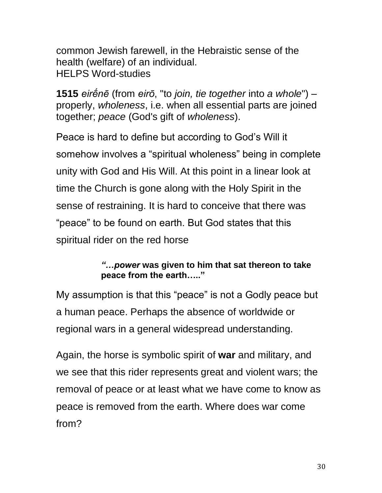common Jewish farewell, in the Hebraistic sense of the health (welfare) of an individual. HELPS Word-studies

**1515** *eirḗnē* (from *eirō*, "to *join, tie together* into *a whole*") – properly, *wholeness*, i.e. when all essential parts are joined together; *peace* (God's gift of *wholeness*).

Peace is hard to define but according to God's Will it somehow involves a "spiritual wholeness" being in complete unity with God and His Will. At this point in a linear look at time the Church is gone along with the Holy Spirit in the sense of restraining. It is hard to conceive that there was "peace" to be found on earth. But God states that this spiritual rider on the red horse

### *"…power* **was given to him that sat thereon to take peace from the earth….."**

My assumption is that this "peace" is not a Godly peace but a human peace. Perhaps the absence of worldwide or regional wars in a general widespread understanding.

Again, the horse is symbolic spirit of **war** and military, and we see that this rider represents great and violent wars; the removal of peace or at least what we have come to know as peace is removed from the earth. Where does war come from?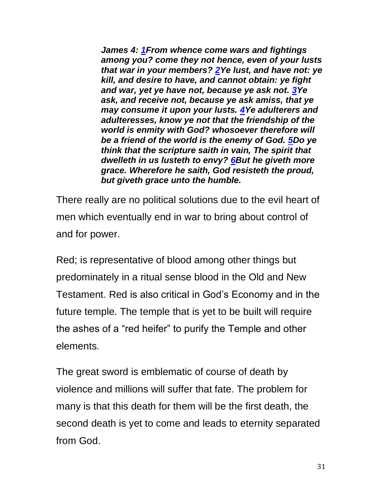*James 4: [1F](https://biblehub.com/james/4-1.htm)rom whence come wars and fightings among you? come they not hence, even of your lusts that war in your members? [2Y](https://biblehub.com/james/4-2.htm)e lust, and have not: ye kill, and desire to have, and cannot obtain: ye fight and war, yet ye have not, because ye ask not. [3Y](https://biblehub.com/james/4-3.htm)e ask, and receive not, because ye ask amiss, that ye may consume it upon your lusts. [4Y](https://biblehub.com/james/4-4.htm)e adulterers and adulteresses, know ye not that the friendship of the world is enmity with God? whosoever therefore will be a friend of the world is the enemy of God. [5D](https://biblehub.com/james/4-5.htm)o ye think that the scripture saith in vain, The spirit that dwelleth in us lusteth to envy? [6B](https://biblehub.com/james/4-6.htm)ut he giveth more grace. Wherefore he saith, God resisteth the proud, but giveth grace unto the humble.*

There really are no political solutions due to the evil heart of men which eventually end in war to bring about control of and for power.

Red; is representative of blood among other things but predominately in a ritual sense blood in the Old and New Testament. Red is also critical in God's Economy and in the future temple. The temple that is yet to be built will require the ashes of a "red heifer" to purify the Temple and other elements.

The great sword is emblematic of course of death by violence and millions will suffer that fate. The problem for many is that this death for them will be the first death, the second death is yet to come and leads to eternity separated from God.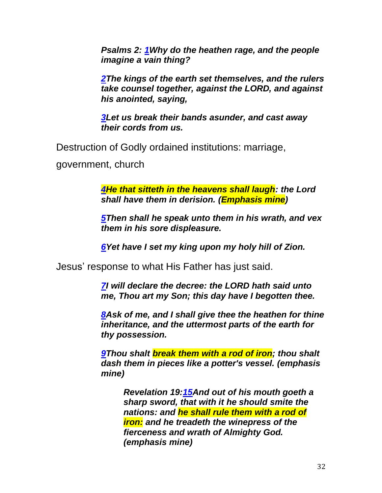*Psalms 2: [1W](https://biblehub.com/psalms/2-1.htm)hy do the heathen rage, and the people imagine a vain thing?*

*[2T](https://biblehub.com/psalms/2-2.htm)he kings of the earth set themselves, and the rulers take counsel together, against the LORD, and against his anointed, saying,*

*[3L](https://biblehub.com/psalms/2-3.htm)et us break their bands asunder, and cast away their cords from us.*

Destruction of Godly ordained institutions: marriage,

government, church

*[4H](https://biblehub.com/psalms/2-4.htm)e that sitteth in the heavens shall laugh: the Lord shall have them in derision. (Emphasis mine)*

*[5T](https://biblehub.com/psalms/2-5.htm)hen shall he speak unto them in his wrath, and vex them in his sore displeasure.*

*[6Y](https://biblehub.com/psalms/2-6.htm)et have I set my king upon my holy hill of Zion.*

Jesus' response to what His Father has just said.

*[7I](https://biblehub.com/psalms/2-7.htm) will declare the decree: the LORD hath said unto me, Thou art my Son; this day have I begotten thee.*

*[8A](https://biblehub.com/psalms/2-8.htm)sk of me, and I shall give thee the heathen for thine inheritance, and the uttermost parts of the earth for thy possession.*

*[9T](https://biblehub.com/psalms/2-9.htm)hou shalt break them with a rod of iron; thou shalt dash them in pieces like a potter's vessel. (emphasis mine)*

> *Revelation 19[:15A](https://biblehub.com/revelation/19-15.htm)nd out of his mouth goeth a sharp sword, that with it he should smite the nations: and he shall rule them with a rod of iron: and he treadeth the winepress of the fierceness and wrath of Almighty God. (emphasis mine)*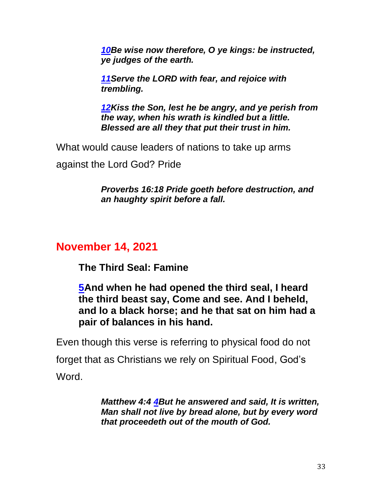*[10B](https://biblehub.com/psalms/2-10.htm)e wise now therefore, O ye kings: be instructed, ye judges of the earth.*

*[11S](https://biblehub.com/psalms/2-11.htm)erve the LORD with fear, and rejoice with trembling.*

*[12K](https://biblehub.com/psalms/2-12.htm)iss the Son, lest he be angry, and ye perish from the way, when his wrath is kindled but a little. Blessed are all they that put their trust in him.*

What would cause leaders of nations to take up arms

against the Lord God? Pride

*Proverbs 16:18 Pride goeth before destruction, and an haughty spirit before a fall.*

# **November 14, 2021**

**The Third Seal: Famine**

**[5A](http://biblehub.com/revelation/6-5.htm)nd when he had opened the third seal, I heard the third beast say, Come and see. And I beheld, and lo a black horse; and he that sat on him had a pair of balances in his hand.**

Even though this verse is referring to physical food do not forget that as Christians we rely on Spiritual Food, God's Word.

> *Matthew 4:4 [4B](https://biblehub.com/matthew/4-4.htm)ut he answered and said, It is written, Man shall not live by bread alone, but by every word that proceedeth out of the mouth of God.*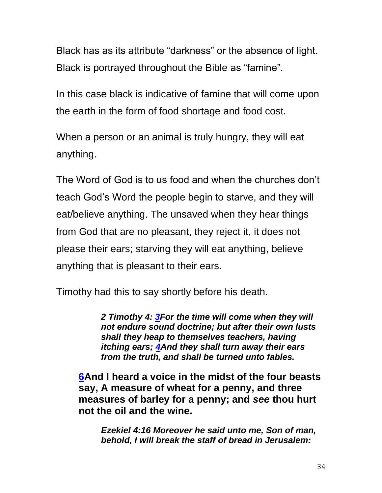Black has as its attribute "darkness" or the absence of light. Black is portrayed throughout the Bible as "famine".

In this case black is indicative of famine that will come upon the earth in the form of food shortage and food cost.

When a person or an animal is truly hungry, they will eat anything.

The Word of God is to us food and when the churches don't teach God's Word the people begin to starve, and they will eat/believe anything. The unsaved when they hear things from God that are no pleasant, they reject it, it does not please their ears; starving they will eat anything, believe anything that is pleasant to their ears.

Timothy had this to say shortly before his death.

*2 Timothy 4: [3F](https://biblehub.com/2_timothy/4-3.htm)or the time will come when they will not endure sound doctrine; but after their own lusts shall they heap to themselves teachers, having itching ears; [4A](https://biblehub.com/2_timothy/4-4.htm)nd they shall turn away their ears from the truth, and shall be turned unto fables.* 

**[6A](http://biblehub.com/revelation/6-6.htm)nd I heard a voice in the midst of the four beasts say, A measure of wheat for a penny, and three measures of barley for a penny; and** *see* **thou hurt not the oil and the wine.**

*Ezekiel 4:16 Moreover he said unto me, Son of man, behold, I will break the staff of bread in Jerusalem:*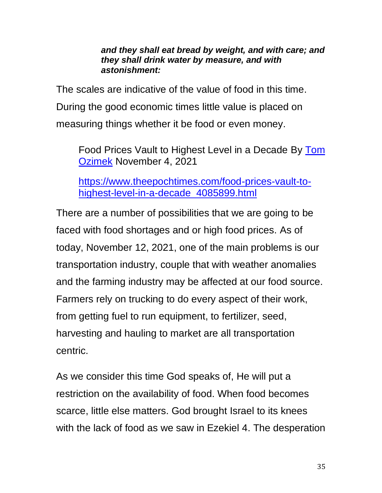*and they shall eat bread by weight, and with care; and they shall drink water by measure, and with astonishment:*

The scales are indicative of the value of food in this time. During the good economic times little value is placed on measuring things whether it be food or even money.

Food Prices Vault to Highest Level in a Decade By [Tom](https://www.theepochtimes.com/author-tom-ozimek)  [Ozimek](https://www.theepochtimes.com/author-tom-ozimek) November 4, 2021

[https://www.theepochtimes.com/food-prices-vault-to](https://www.theepochtimes.com/food-prices-vault-to-highest-level-in-a-decade_4085899.html)[highest-level-in-a-decade\\_4085899.html](https://www.theepochtimes.com/food-prices-vault-to-highest-level-in-a-decade_4085899.html)

There are a number of possibilities that we are going to be faced with food shortages and or high food prices. As of today, November 12, 2021, one of the main problems is our transportation industry, couple that with weather anomalies and the farming industry may be affected at our food source. Farmers rely on trucking to do every aspect of their work, from getting fuel to run equipment, to fertilizer, seed, harvesting and hauling to market are all transportation centric.

As we consider this time God speaks of, He will put a restriction on the availability of food. When food becomes scarce, little else matters. God brought Israel to its knees with the lack of food as we saw in Ezekiel 4. The desperation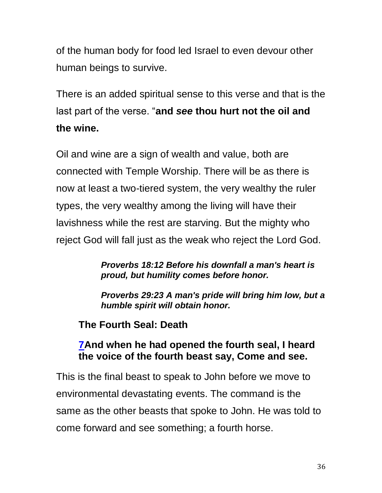of the human body for food led Israel to even devour other human beings to survive.

There is an added spiritual sense to this verse and that is the last part of the verse. "**and** *see* **thou hurt not the oil and the wine.**

Oil and wine are a sign of wealth and value, both are connected with Temple Worship. There will be as there is now at least a two-tiered system, the very wealthy the ruler types, the very wealthy among the living will have their lavishness while the rest are starving. But the mighty who reject God will fall just as the weak who reject the Lord God.

> *[Proverbs 18:12](https://biblehub.com/proverbs/18-12.htm) Before his downfall a man's heart is proud, but humility comes before honor.*

*[Proverbs 29:23](https://biblehub.com/proverbs/29-23.htm) A man's pride will bring him low, but a humble spirit will obtain honor.*

**The Fourth Seal: Death**

# **[7A](http://biblehub.com/revelation/6-7.htm)nd when he had opened the fourth seal, I heard the voice of the fourth beast say, Come and see.**

This is the final beast to speak to John before we move to environmental devastating events. The command is the same as the other beasts that spoke to John. He was told to come forward and see something; a fourth horse.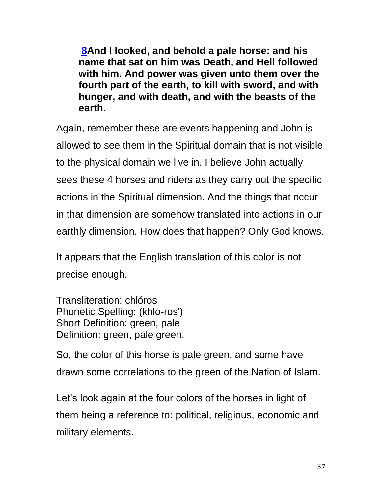**[8A](http://biblehub.com/revelation/6-8.htm)nd I looked, and behold a pale horse: and his name that sat on him was Death, and Hell followed with him. And power was given unto them over the fourth part of the earth, to kill with sword, and with hunger, and with death, and with the beasts of the earth.**

Again, remember these are events happening and John is allowed to see them in the Spiritual domain that is not visible to the physical domain we live in. I believe John actually sees these 4 horses and riders as they carry out the specific actions in the Spiritual dimension. And the things that occur in that dimension are somehow translated into actions in our earthly dimension. How does that happen? Only God knows.

It appears that the English translation of this color is not precise enough.

Transliteration: chlóros Phonetic Spelling: (khlo-ros') Short Definition: green, pale Definition: green, pale green.

So, the color of this horse is pale green, and some have drawn some correlations to the green of the Nation of Islam.

Let's look again at the four colors of the horses in light of them being a reference to: political, religious, economic and military elements.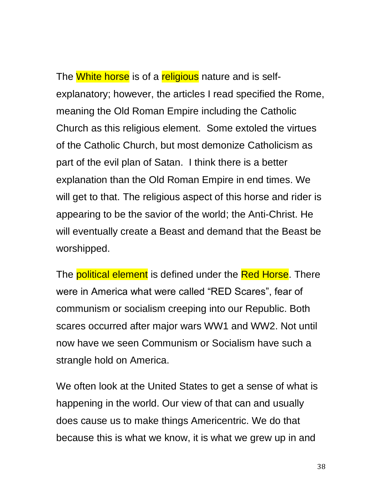The White horse is of a religious nature and is selfexplanatory; however, the articles I read specified the Rome, meaning the Old Roman Empire including the Catholic Church as this religious element. Some extoled the virtues of the Catholic Church, but most demonize Catholicism as part of the evil plan of Satan. I think there is a better explanation than the Old Roman Empire in end times. We will get to that. The religious aspect of this horse and rider is appearing to be the savior of the world; the Anti-Christ. He will eventually create a Beast and demand that the Beast be worshipped.

The **political element** is defined under the **Red Horse**. There were in America what were called "RED Scares", fear of communism or socialism creeping into our Republic. Both scares occurred after major wars WW1 and WW2. Not until now have we seen Communism or Socialism have such a strangle hold on America.

We often look at the United States to get a sense of what is happening in the world. Our view of that can and usually does cause us to make things Americentric. We do that because this is what we know, it is what we grew up in and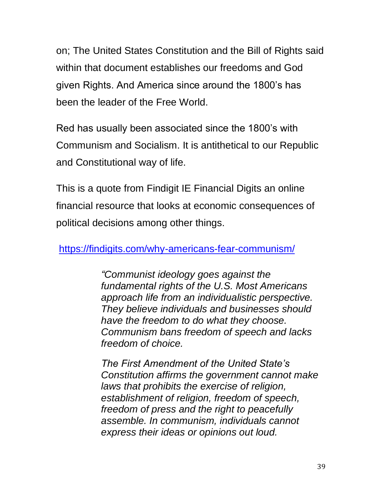on; The United States Constitution and the Bill of Rights said within that document establishes our freedoms and God given Rights. And America since around the 1800's has been the leader of the Free World.

Red has usually been associated since the 1800's with Communism and Socialism. It is antithetical to our Republic and Constitutional way of life.

This is a quote from Findigit IE Financial Digits an online financial resource that looks at economic consequences of political decisions among other things.

<https://findigits.com/why-americans-fear-communism/>

*"Communist ideology goes against the fundamental rights of the U.S. Most Americans approach life from an individualistic perspective. They believe individuals and businesses should have the freedom to do what they choose. Communism bans freedom of speech and lacks freedom of choice.*

*The First Amendment of the United State's Constitution affirms the government cannot make laws that prohibits the exercise of religion, establishment of religion, freedom of speech, freedom of press and the right to peacefully assemble. In communism, individuals cannot express their ideas or opinions out loud.*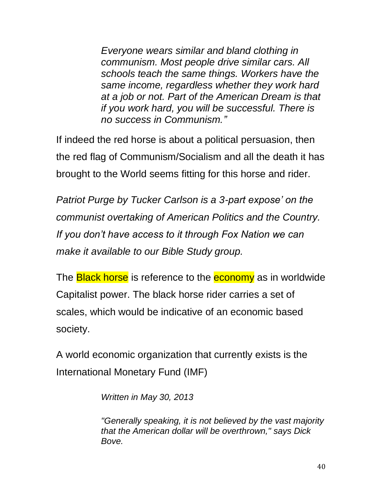*Everyone wears similar and bland clothing in communism. Most people drive similar cars. All schools teach the same things. Workers have the same income, regardless whether they work hard at a job or not. Part of the American Dream is that if you work hard, you will be successful. There is no success in Communism."*

If indeed the red horse is about a political persuasion, then the red flag of Communism/Socialism and all the death it has brought to the World seems fitting for this horse and rider.

*Patriot Purge by Tucker Carlson is a 3-part expose' on the communist overtaking of American Politics and the Country. If you don't have access to it through Fox Nation we can make it available to our Bible Study group.* 

The **Black horse** is reference to the **economy** as in worldwide Capitalist power. The black horse rider carries a set of scales, which would be indicative of an economic based society.

A world economic organization that currently exists is the International Monetary Fund (IMF)

*Written in May 30, 2013* 

*"Generally speaking, it is not believed by the vast majority that the American dollar will be overthrown," says Dick Bove.*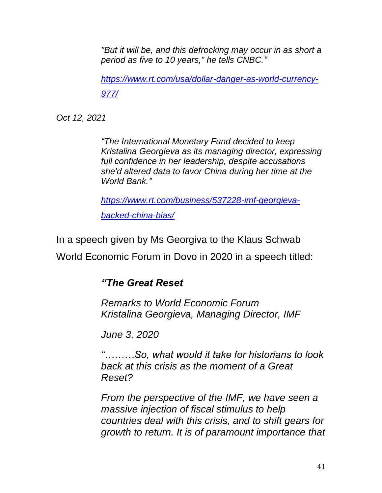*"But it will be, and this defrocking may occur in as short a period as five to 10 years," he tells CNBC."*

*[https://www.rt.com/usa/dollar-danger-as-world-currency-](https://www.rt.com/usa/dollar-danger-as-world-currency-977/)[977/](https://www.rt.com/usa/dollar-danger-as-world-currency-977/)*

*Oct 12, 2021*

*"The International Monetary Fund decided to keep Kristalina Georgieva as its managing director, expressing full confidence in her leadership, despite accusations she'd altered data to favor China during her time at the World Bank."*

*[https://www.rt.com/business/537228-imf-georgieva](https://www.rt.com/business/537228-imf-georgieva-backed-china-bias/)[backed-china-bias/](https://www.rt.com/business/537228-imf-georgieva-backed-china-bias/)*

In a speech given by Ms Georgiva to the Klaus Schwab World Economic Forum in Dovo in 2020 in a speech titled:

# *"The Great Reset*

*Remarks to World Economic Forum Kristalina Georgieva, Managing Director, IMF* 

*June 3, 2020*

*"………So, what would it take for historians to look back at this crisis as the moment of a Great Reset?*

*From the perspective of the IMF, we have seen a massive injection of fiscal stimulus to help countries deal with this crisis, and to shift gears for growth to return. It is of paramount importance that*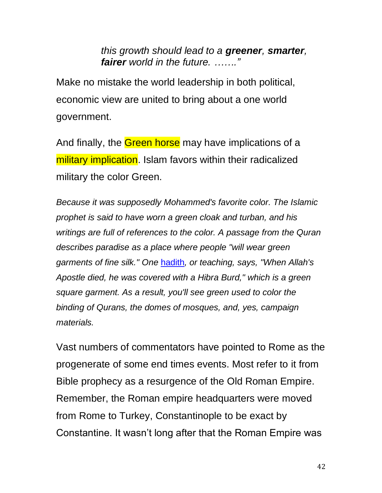*this growth should lead to a greener, smarter, fairer world in the future. ……."*

Make no mistake the world leadership in both political, economic view are united to bring about a one world government.

And finally, the Green horse may have implications of a military implication. Islam favors within their radicalized military the color Green.

*Because it was supposedly Mohammed's favorite color. The Islamic prophet is said to have worn a green cloak and turban, and his writings are full of references to the color. A passage from the Quran describes paradise as a place where people "will wear green garments of fine silk." One* [hadith](http://en.wikipedia.org/wiki/Hadith)*, or teaching, says, "When Allah's Apostle died, he was covered with a Hibra Burd," which is a green square garment. As a result, you'll see green used to color the binding of Qurans, the domes of mosques, and, yes, campaign materials.*

Vast numbers of commentators have pointed to Rome as the progenerate of some end times events. Most refer to it from Bible prophecy as a resurgence of the Old Roman Empire. Remember, the Roman empire headquarters were moved from Rome to Turkey, Constantinople to be exact by Constantine. It wasn't long after that the Roman Empire was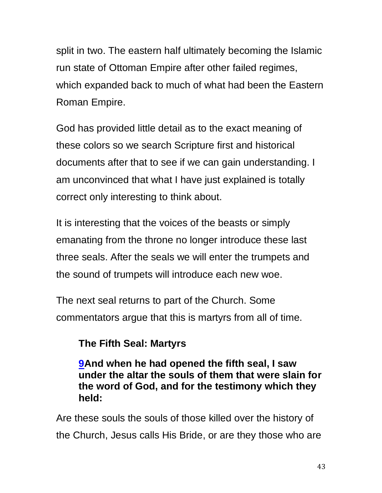split in two. The eastern half ultimately becoming the Islamic run state of Ottoman Empire after other failed regimes, which expanded back to much of what had been the Eastern Roman Empire.

God has provided little detail as to the exact meaning of these colors so we search Scripture first and historical documents after that to see if we can gain understanding. I am unconvinced that what I have just explained is totally correct only interesting to think about.

It is interesting that the voices of the beasts or simply emanating from the throne no longer introduce these last three seals. After the seals we will enter the trumpets and the sound of trumpets will introduce each new woe.

The next seal returns to part of the Church. Some commentators argue that this is martyrs from all of time.

# **The Fifth Seal: Martyrs**

**[9A](http://biblehub.com/revelation/6-9.htm)nd when he had opened the fifth seal, I saw under the altar the souls of them that were slain for the word of God, and for the testimony which they held:**

Are these souls the souls of those killed over the history of the Church, Jesus calls His Bride, or are they those who are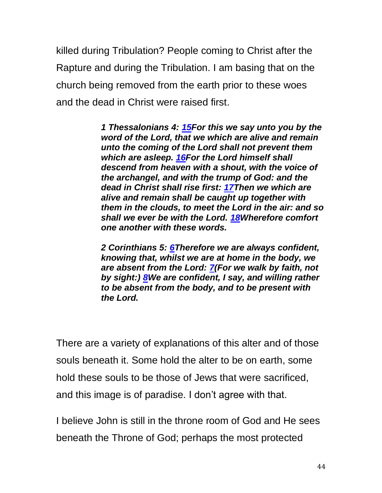killed during Tribulation? People coming to Christ after the Rapture and during the Tribulation. I am basing that on the church being removed from the earth prior to these woes and the dead in Christ were raised first.

> *1 Thessalonians 4: [15F](https://biblehub.com/1_thessalonians/4-15.htm)or this we say unto you by the word of the Lord, that we which are alive and remain unto the coming of the Lord shall not prevent them which are asleep. [16F](https://biblehub.com/1_thessalonians/4-16.htm)or the Lord himself shall descend from heaven with a shout, with the voice of the archangel, and with the trump of God: and the dead in Christ shall rise first: [17T](https://biblehub.com/1_thessalonians/4-17.htm)hen we which are alive and remain shall be caught up together with them in the clouds, to meet the Lord in the air: and so shall we ever be with the Lord. [18W](https://biblehub.com/1_thessalonians/4-18.htm)herefore comfort one another with these words.*

*2 Corinthians 5: [6T](https://biblehub.com/2_corinthians/5-6.htm)herefore we are always confident, knowing that, whilst we are at home in the body, we are absent from the Lord: [7\(](https://biblehub.com/2_corinthians/5-7.htm)For we walk by faith, not by sight:) [8W](https://biblehub.com/2_corinthians/5-8.htm)e are confident, I say, and willing rather to be absent from the body, and to be present with the Lord.* 

There are a variety of explanations of this alter and of those souls beneath it. Some hold the alter to be on earth, some hold these souls to be those of Jews that were sacrificed, and this image is of paradise. I don't agree with that.

I believe John is still in the throne room of God and He sees beneath the Throne of God; perhaps the most protected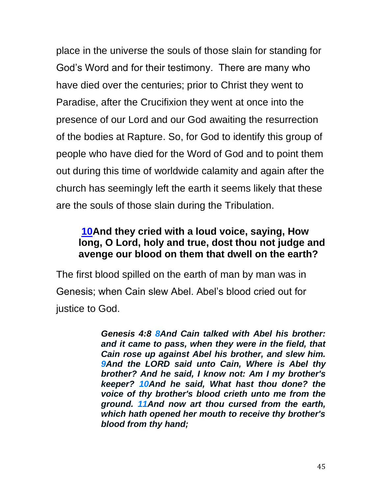place in the universe the souls of those slain for standing for God's Word and for their testimony. There are many who have died over the centuries; prior to Christ they went to Paradise, after the Crucifixion they went at once into the presence of our Lord and our God awaiting the resurrection of the bodies at Rapture. So, for God to identify this group of people who have died for the Word of God and to point them out during this time of worldwide calamity and again after the church has seemingly left the earth it seems likely that these are the souls of those slain during the Tribulation.

## **[10A](http://biblehub.com/revelation/6-10.htm)nd they cried with a loud voice, saying, How long, O Lord, holy and true, dost thou not judge and avenge our blood on them that dwell on the earth?**

The first blood spilled on the earth of man by man was in Genesis; when Cain slew Abel. Abel's blood cried out for justice to God.

> *Genesis 4:8 [8A](http://biblehub.com/genesis/4-8.htm)nd Cain talked with Abel his brother: and it came to pass, when they were in the field, that Cain rose up against Abel his brother, and slew him. [9A](http://biblehub.com/genesis/4-9.htm)nd the LORD said unto Cain, Where is Abel thy brother? And he said, I know not: Am I my brother's keeper? [10A](http://biblehub.com/genesis/4-10.htm)nd he said, What hast thou done? the voice of thy brother's blood crieth unto me from the ground. [11A](http://biblehub.com/genesis/4-11.htm)nd now art thou cursed from the earth, which hath opened her mouth to receive thy brother's blood from thy hand;*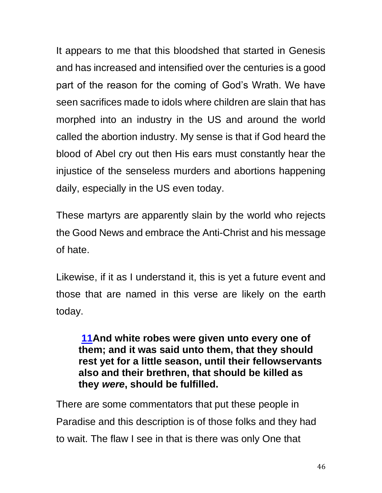It appears to me that this bloodshed that started in Genesis and has increased and intensified over the centuries is a good part of the reason for the coming of God's Wrath. We have seen sacrifices made to idols where children are slain that has morphed into an industry in the US and around the world called the abortion industry. My sense is that if God heard the blood of Abel cry out then His ears must constantly hear the injustice of the senseless murders and abortions happening daily, especially in the US even today.

These martyrs are apparently slain by the world who rejects the Good News and embrace the Anti-Christ and his message of hate.

Likewise, if it as I understand it, this is yet a future event and those that are named in this verse are likely on the earth today.

**[11A](http://biblehub.com/revelation/6-11.htm)nd white robes were given unto every one of them; and it was said unto them, that they should rest yet for a little season, until their fellowservants also and their brethren, that should be killed as they** *were***, should be fulfilled.**

There are some commentators that put these people in Paradise and this description is of those folks and they had to wait. The flaw I see in that is there was only One that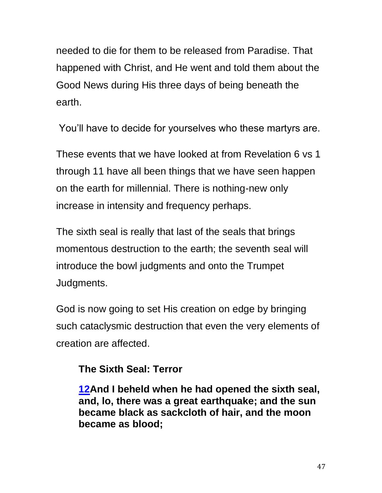needed to die for them to be released from Paradise. That happened with Christ, and He went and told them about the Good News during His three days of being beneath the earth.

You'll have to decide for yourselves who these martyrs are.

These events that we have looked at from Revelation 6 vs 1 through 11 have all been things that we have seen happen on the earth for millennial. There is nothing-new only increase in intensity and frequency perhaps.

The sixth seal is really that last of the seals that brings momentous destruction to the earth; the seventh seal will introduce the bowl judgments and onto the Trumpet Judgments.

God is now going to set His creation on edge by bringing such cataclysmic destruction that even the very elements of creation are affected.

# **The Sixth Seal: Terror**

**[12A](http://biblehub.com/revelation/6-12.htm)nd I beheld when he had opened the sixth seal, and, lo, there was a great earthquake; and the sun became black as sackcloth of hair, and the moon became as blood;**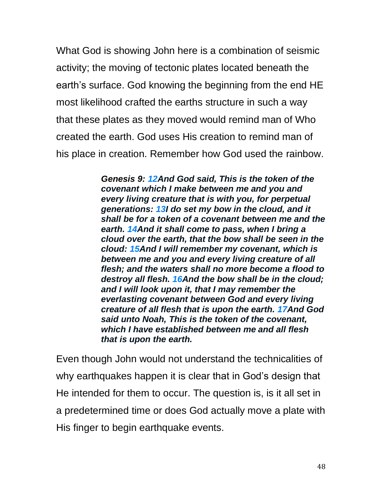What God is showing John here is a combination of seismic activity; the moving of tectonic plates located beneath the earth's surface. God knowing the beginning from the end HE most likelihood crafted the earths structure in such a way that these plates as they moved would remind man of Who created the earth. God uses His creation to remind man of his place in creation. Remember how God used the rainbow.

> *Genesis 9: [12A](http://biblehub.com/genesis/9-12.htm)nd God said, This is the token of the covenant which I make between me and you and every living creature that is with you, for perpetual generations: [13I](http://biblehub.com/genesis/9-13.htm) do set my bow in the cloud, and it shall be for a token of a covenant between me and the earth. [14A](http://biblehub.com/genesis/9-14.htm)nd it shall come to pass, when I bring a cloud over the earth, that the bow shall be seen in the cloud: [15A](http://biblehub.com/genesis/9-15.htm)nd I will remember my covenant, which is between me and you and every living creature of all flesh; and the waters shall no more become a flood to destroy all flesh. [16A](http://biblehub.com/genesis/9-16.htm)nd the bow shall be in the cloud; and I will look upon it, that I may remember the everlasting covenant between God and every living creature of all flesh that is upon the earth. [17A](http://biblehub.com/genesis/9-17.htm)nd God said unto Noah, This is the token of the covenant, which I have established between me and all flesh that is upon the earth.*

Even though John would not understand the technicalities of why earthquakes happen it is clear that in God's design that He intended for them to occur. The question is, is it all set in a predetermined time or does God actually move a plate with His finger to begin earthquake events.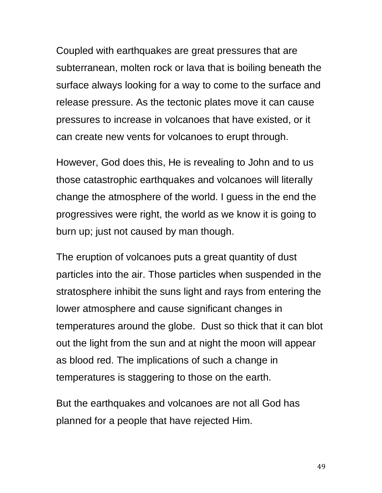Coupled with earthquakes are great pressures that are subterranean, molten rock or lava that is boiling beneath the surface always looking for a way to come to the surface and release pressure. As the tectonic plates move it can cause pressures to increase in volcanoes that have existed, or it can create new vents for volcanoes to erupt through.

However, God does this, He is revealing to John and to us those catastrophic earthquakes and volcanoes will literally change the atmosphere of the world. I guess in the end the progressives were right, the world as we know it is going to burn up; just not caused by man though.

The eruption of volcanoes puts a great quantity of dust particles into the air. Those particles when suspended in the stratosphere inhibit the suns light and rays from entering the lower atmosphere and cause significant changes in temperatures around the globe. Dust so thick that it can blot out the light from the sun and at night the moon will appear as blood red. The implications of such a change in temperatures is staggering to those on the earth.

But the earthquakes and volcanoes are not all God has planned for a people that have rejected Him.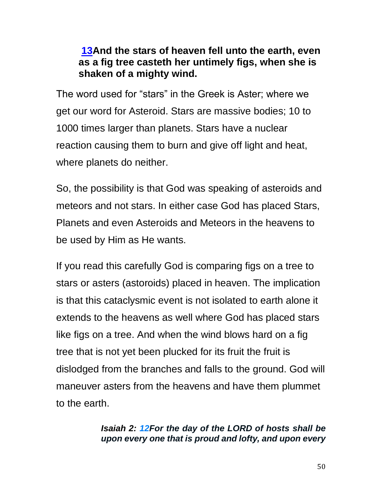# **[13A](http://biblehub.com/revelation/6-13.htm)nd the stars of heaven fell unto the earth, even as a fig tree casteth her untimely figs, when she is shaken of a mighty wind.**

The word used for "stars" in the Greek is Aster; where we get our word for Asteroid. Stars are massive bodies; 10 to 1000 times larger than planets. Stars have a nuclear reaction causing them to burn and give off light and heat, where planets do neither.

So, the possibility is that God was speaking of asteroids and meteors and not stars. In either case God has placed Stars, Planets and even Asteroids and Meteors in the heavens to be used by Him as He wants.

If you read this carefully God is comparing figs on a tree to stars or asters (astoroids) placed in heaven. The implication is that this cataclysmic event is not isolated to earth alone it extends to the heavens as well where God has placed stars like figs on a tree. And when the wind blows hard on a fig tree that is not yet been plucked for its fruit the fruit is dislodged from the branches and falls to the ground. God will maneuver asters from the heavens and have them plummet to the earth.

### *Isaiah 2: [12F](http://biblehub.com/isaiah/2-12.htm)or the day of the LORD of hosts shall be upon every one that is proud and lofty, and upon every*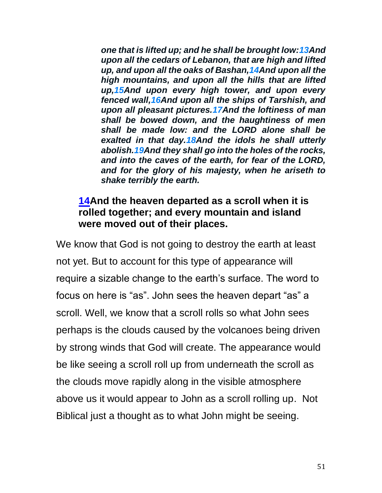*one that is lifted up; and he shall be brought low[:13A](http://biblehub.com/isaiah/2-13.htm)nd upon all the cedars of Lebanon, that are high and lifted up, and upon all the oaks of Bashan[,14A](http://biblehub.com/isaiah/2-14.htm)nd upon all the high mountains, and upon all the hills that are lifted up[,15A](http://biblehub.com/isaiah/2-15.htm)nd upon every high tower, and upon every fenced wall[,16A](http://biblehub.com/isaiah/2-16.htm)nd upon all the ships of Tarshish, and upon all pleasant pictures[.17A](http://biblehub.com/isaiah/2-17.htm)nd the loftiness of man shall be bowed down, and the haughtiness of men shall be made low: and the LORD alone shall be exalted in that day[.18A](http://biblehub.com/isaiah/2-18.htm)nd the idols he shall utterly abolish[.19A](http://biblehub.com/isaiah/2-19.htm)nd they shall go into the holes of the rocks, and into the caves of the earth, for fear of the LORD, and for the glory of his majesty, when he ariseth to shake terribly the earth.*

## **[14A](http://biblehub.com/revelation/6-14.htm)nd the heaven departed as a scroll when it is rolled together; and every mountain and island were moved out of their places.**

We know that God is not going to destroy the earth at least not yet. But to account for this type of appearance will require a sizable change to the earth's surface. The word to focus on here is "as". John sees the heaven depart "as" a scroll. Well, we know that a scroll rolls so what John sees perhaps is the clouds caused by the volcanoes being driven by strong winds that God will create. The appearance would be like seeing a scroll roll up from underneath the scroll as the clouds move rapidly along in the visible atmosphere above us it would appear to John as a scroll rolling up. Not Biblical just a thought as to what John might be seeing.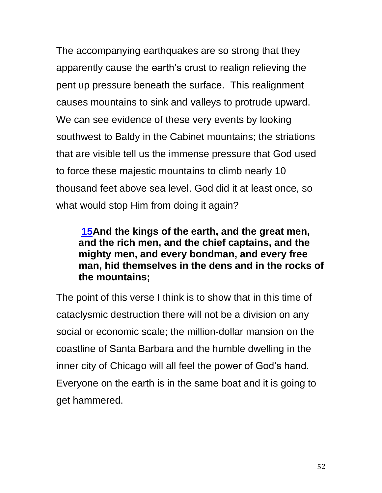The accompanying earthquakes are so strong that they apparently cause the earth's crust to realign relieving the pent up pressure beneath the surface. This realignment causes mountains to sink and valleys to protrude upward. We can see evidence of these very events by looking southwest to Baldy in the Cabinet mountains; the striations that are visible tell us the immense pressure that God used to force these majestic mountains to climb nearly 10 thousand feet above sea level. God did it at least once, so what would stop Him from doing it again?

## **[15A](http://biblehub.com/revelation/6-15.htm)nd the kings of the earth, and the great men, and the rich men, and the chief captains, and the mighty men, and every bondman, and every free man, hid themselves in the dens and in the rocks of the mountains;**

The point of this verse I think is to show that in this time of cataclysmic destruction there will not be a division on any social or economic scale; the million-dollar mansion on the coastline of Santa Barbara and the humble dwelling in the inner city of Chicago will all feel the power of God's hand. Everyone on the earth is in the same boat and it is going to get hammered.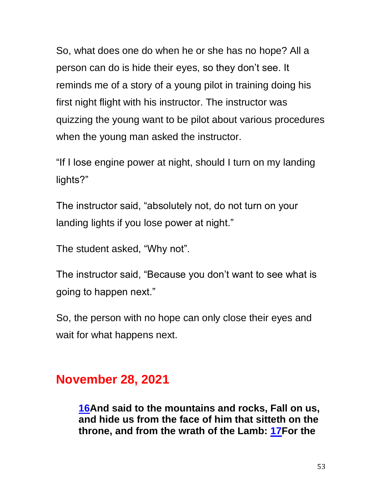So, what does one do when he or she has no hope? All a person can do is hide their eyes, so they don't see. It reminds me of a story of a young pilot in training doing his first night flight with his instructor. The instructor was quizzing the young want to be pilot about various procedures when the young man asked the instructor.

"If I lose engine power at night, should I turn on my landing lights?"

The instructor said, "absolutely not, do not turn on your landing lights if you lose power at night."

The student asked, "Why not".

The instructor said, "Because you don't want to see what is going to happen next."

So, the person with no hope can only close their eyes and wait for what happens next.

# **November 28, 2021**

**[16A](http://biblehub.com/revelation/6-16.htm)nd said to the mountains and rocks, Fall on us, and hide us from the face of him that sitteth on the throne, and from the wrath of the Lamb: [17F](http://biblehub.com/revelation/6-17.htm)or the**